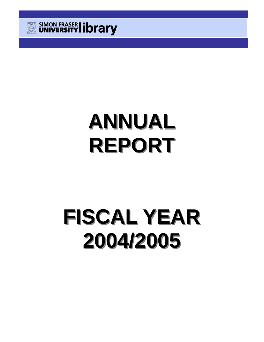

# **ANNUAL REPORT**

# **FISCAL YEAR FISCAL YEAR 2004/2005 2004/2005**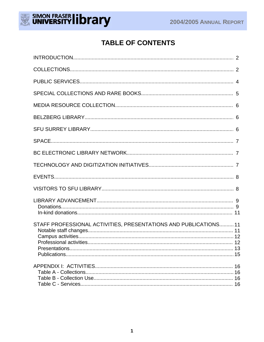

## **TABLE OF CONTENTS**

| STAFF PROFESSIONAL ACTIVITIES, PRESENTATIONS AND PUBLICATIONS 11 |  |
|------------------------------------------------------------------|--|
|                                                                  |  |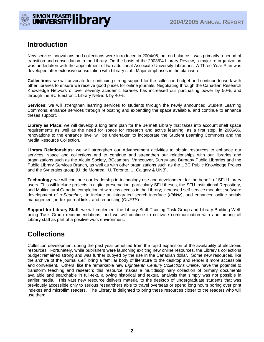



## **Introduction**

New service innovations and collections were introduced in 2004/05, but on balance it was primarily a period of transition and consolidation in the Library. On the basis of the 2003/04 Library Review, a major re-organization was undertaken with the appointment of two additional Associate University Librarians. A Three Year Plan was developed after extensive consultation with Library staff. Major emphases in the plan were:

**Collections**: we will advocate for continuing strong support for the collection budget and continue to work with other libraries to ensure we receive good prices for online journals. Negotiating through the Canadian Research Knowledge Network of over seventy academic libraries has increased our purchasing power by 50%; and through the BC Electronic Library Network by 40%.

**Services**: we will strengthen learning services to students through the newly announced Student Learning Commons, enhance services through relocating and expanding the space available, and continue to enhance theses support.

**Library as Place**: we will develop a long term plan for the Bennett Library that takes into account shelf space requirements as well as the need for space for research and active learning; as a first step, in 2005/06, renovations to the entrance level will be undertaken to incorporate the Student Learning Commons and the Media Resource Collection.

**Library Relationships**: we will strengthen our Advancement activities to obtain resources to enhance our services, space and collections and to continue and strengthen our relationships with our libraries and organizations such as the Alcuin Society, BCcampus, Vancouver, Surrey and Burnaby Public Libraries and the Public Library Services Branch, as well as with other organizations such as the UBC Public Knowledge Project and the Synergies group (U. de Montreal, U. Toronto, U. Calgary & UNB).

**Technology**: we will continue our leadership in technology use and development for the benefit of SFU Library users. This will include projects in digital preservation, particularly SFU theses, the SFU Institutional Repository, and Multicultural Canada; completion of wireless access in the Library; increased self-service modules; software development of *reSearcher*, to include an integrated search interface (*dbWiz*), and enhanced online serials management, index-journal links, and requesting (*CUFTS*).

**Support for Library Staff**: we will implement the Library Staff Training Task Group and Library Building Wellbeing Task Group recommendations, and we will continue to cultivate communication with and among all Library staff as part of a positive work environment.

## **Collections**

Collection development during the past year benefited from the rapid expansion of the availability of electronic resources. Fortunately, while publishers were launching exciting new online resources, the Library's collections budget remained strong and was further buoyed by the rise in the Canadian dollar. Some new resources, like the archive of the journal *Cell*, bring a familiar body of literature to the desktop and render it more accessible and convenient. Others, like the remarkable new *Eighteenth Century Collections Online*, have the potential to transform teaching and research; this resource makes a multidisciplinary collection of primary documents available and searchable in full-text, allowing historical and textual analysis that simply was not possible in earlier media. This vast new resource delivers material to the desktop of undergraduate students that was previously accessible only to serious researchers able to travel overseas or spend long hours poring over print indexes and microfilm readers. The Library is delighted to bring these resources closer to the readers who will use them.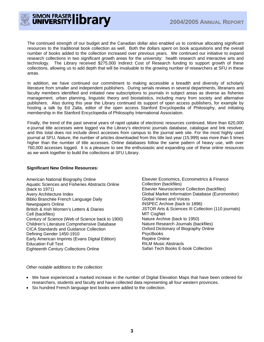

The continued strength of our budget and the Canadian dollar also enabled us to continue allocating significant resources to the traditional book collection as well. Both the dollars spent on book acquisitions and the overall number of books added to the collection increased over previous years. We continued our initiative to expand research collections in two significant growth areas for the university: health research and interactive arts and technology. The Library received \$275,000 Indirect Cost of Research funding to support growth of these collections, allowing us to add depth that will be invaluable to the growing number of researchers at SFU in these areas.

In addition, we have continued our commitment to making accessible a breadth and diversity of scholarly literature from smaller and independent publishers. During serials reviews in several departments, librarians and faculty members identified and initiated new subscriptions to journals in subject areas as diverse as fisheries management, urban planning, linguistic theory and biostatistics, including many from society and alternative publishers. Also during this year the Library continued its support of open access publishers, for example by hosting a talk by Ed Zalta, editor of the open access Stanford Encyclopedia of Philosophy, and initiating membership in the Stanford Encyclopedia of Philosophy International Association.

Finally, the trend of the past several years of rapid uptake of electronic resources continued. More than 620,000 e-journal title accesses were logged via the Library's electronic journals database, catalogue and link resolver, and this total does not include direct accesses from campus to the journal web site. For the most highly used journal at SFU, *Nature*, the number of articles downloaded from this title last year (15,999) was more than 5 times higher than the number of title accesses. Online databases follow the same pattern of heavy use, with over 760,000 accesses logged. It is a pleasure to see the enthusiastic and expanding use of these online resources as we work together to build the collections at SFU Library.

#### **Significant New Online Resources:**

American National Biography Online Aquatic Sciences and Fisheries Abstracts Online (back to 1971) Avery Architecture Index Biblio Branchée French Language Daily Newspapers Online British & Irish Women's Letters & Diaries Cell (backfiles) Century of Science (Web of Science back to 1900) Children's Literature Comprehensive Database CICA Standards and Guidance Collection Defining Gender 1450-1910 Early American Imprints (Evans Digital Edition) Education Full Text Eighteenth Century Collections Online

Elsevier Economics, Econometrics & Finance Collection (backfiles) Elsevier Neuroscience Collection (backfiles) Global Market Information Database (Euromonitor) Global Views and Voices INSPEC Archive (back to 1896) JSTOR Arts & Sciences III Collection (110 journals) MIT CogNet Nature Archive (back to 1950) Nature Research Journals (backfiles) Oxford Dictionary of Biography Online PsycBooks Repère Online RILM Music Abstracts Safari Tech Books E-book Collection

#### *Other notable additions to the collection:*

- We have experienced a marked increase in the number of Digital Elevation Maps that have been ordered for researchers, students and faculty and have collected data representing all four western provinces.
- Six hundred French language text books were added to the collection.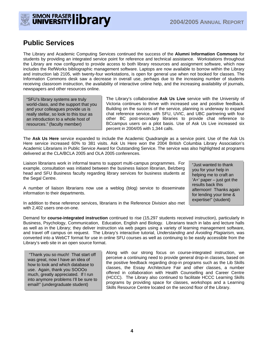

## **Public Services**

The Library and Academic Computing Services continued the success of the **Alumni Information Commons** for students by providing an integrated service point for reference and technical assistance. Workstations throughout the Library are now configured to provide access to both library resources and assignment software, which now includes the RefWorks bibliographic management software. Laptops are now available to borrow within the Library and instruction lab 2105, with twenty-four workstations, is open for general use when not booked for classes. The Information Commons desk saw a decrease in overall use, perhaps due to the increasing number of students receiving classroom instruction, the availability of interactive online help, and the increasing availability of journals, newspapers and other resources online.

"SFU's library systems are truly world-class, and the support that you and your colleagues provide us is really stellar, so look to this tour as an introduction to a whole host of resources." (faculty member)

The Library's collaborative **Ask Us Live** service with the University of Victoria continues to thrive with increased use and positive feedback. Building on the success of the service, planning is underway to expand chat reference service, with SFU, UVIC, and UBC partnering with four other BC post-secondary libraries to provide chat reference to BCcampus users on a pilot basis. Use of Ask Us Live increased six percent in 2004/05 with 1,344 calls.

The **Ask Us Here** service expanded to include the Academic Quadrangle as a service point. Use of the Ask Us Here service increased 60% to 381 visits. Ask Us Here won the 2004 British Columbia Library Association's Academic Librarians in Public Service Award for Outstanding Service. The service was also highlighted at programs delivered at the CLA/BCLA 2005 and OLA 2005 conferences.

Liaison librarians work in informal teams to support multi-campus programmes. For example, consultation was initiated between the business liaison librarian, Belzberg head and SFU Business faculty regarding library services for business students at the Segal Centre.

"Just wanted to thank you for your help in helping me to craft an  $'A+$ ' paper – just got the results back this afternoon! Thanks again for lending your time & expertise!" (student)

A number of liaison librarians now use a weblog (blog) service to disseminate information to their departments.

In addition to these reference services, librarians in the Reference Division also met with 2,402 users one-on-one.

Demand for **course-integrated instruction** continued to rise (15,297 students received instruction), particularly in Business, Psychology, Communication, Education, English and Biology. Librarians teach in labs and lecture halls as well as in the Library; they deliver instruction via web pages using a variety of learning management software, and travel off campus on request. The Library's interactive tutorial, *Understanding and Avoiding Plagiarism,* was converted into a WebCT format for use in online SFU courses as well as continuing to be easily accessible from the Library's web site in an open source format.

 "Thank you so much! That start off was great, now I have an idea of how to look and which database to use. Again, thank you SOOOo much, greatly appreciated. If I run into anymore problems I'll be sure to email!" (undergraduate student)

Along with our strong focus on course-integrated instruction, we perceive a continuing need to provide general drop-in classes, based on the positive feedback regarding drop-in programs such as the Lib Skills classes, the Essay Architecture Fair and other classes, a number offered in collaboration with Health Counselling and Career Centre (HCCC). The Library also continued to facilitate HCCC Learning Skills programs by providing space for classes, workshops and a Learning Skills Resource Centre located on the second floor of the Library.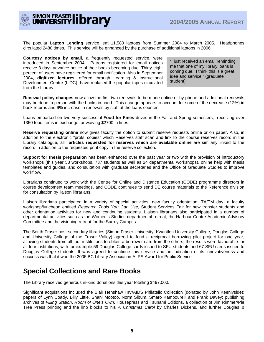

The popular **Laptop Lending** service lent 11,580 laptops from Summer 2004 to March 2005. Headphones circulated 2480 times. This service will be enhanced by the purchase of additional laptops in 2006.

**Courtesy notices by email**, a frequently requested service, were introduced in September 2004. Patrons registered for email notices receive 3 days advance notice of their books becoming due. Thirty-eight percent of users have registered for email notification. Also in September 2004, **digitized lectures**, offered through Learning & Instructional Development Centre (LIDC), have replaced the popular tapes circulated from the Library.

"I just received an email reminding me that one of my library loans is coming due. I think this is a great idea and service." (graduate student)

**Renewal policy changes** now allow the first two renewals to be made online or by phone and additional renewals may be done in person with the books in hand. This change appears to account for some of the decrease (12%) in book returns and 9% increase in renewals by staff at the loans counter.

Loans embarked on two very successful **Food for Fines** drives in the Fall and Spring semesters, receiving over 1350 food items in exchange for waiving \$2700 in fines.

**Reserve requesting online** now gives faculty the option to submit reserve requests online or on paper. Also, in addition to the electronic "profs' copies" which Reserves staff scan and link to the course reserves record in the Library catalogue, all **articles requested for reserves which are available online** are similarly linked to the record in addition to the requested print copy in the reserve collection.

**Support for thesis preparation** has been enhanced over the past year or two with the provision of introductory workshops (this year 58 workshops, 737 students as well as 24 departmental workshops), online help with thesis templates and guides, and consultation with graduate secretaries and the Office of Graduate Studies to improve workflow.

Librarians continued to work with the Centre for Online and Distance Education (CODE) programme directors in course development team meetings, and CODE continues to send DE course materials to the Reference division for consultation by liaison librarians.

Liaison librarians participated in a variety of special activities: new faculty orientation, TA/TM day, a faculty workshop/luncheon entitled *Research Tools You Can Use*, Student Services Fair for new transfer students and other orientation activities for new and continuing students. Liaison librarians also participated in a number of departmental activities such as the Women's Studies departmental retreat, the Harbour Centre Academic Advisory Committee and the visioning retreat for the Surrey Campus.

The South Fraser post-secondary libraries (Simon Fraser University, Kwantlen University College, Douglas College and University College of the Fraser Valley) agreed to fund a reciprocal borrowing pilot project for one year, allowing students from all four institutions to obtain a borrower card from the others; the results were favourable for all four institutions, with for example 59 Douglas College cards issued to SFU students and 67 SFU cards issued to Douglas College students. It was agreed to continue this service and an indication of its innovativeness and success was that it won the 2005 BC Library Association ALPS Award for Public Service.

### **Special Collections and Rare Books**

The Library received generous in-kind donations this year totalling \$497,000.

Significant acquisitions included the Blair Henshaw HIV/AIDS Philatelic Collection (donated by John Keenlyside); papers of Lynn Coady, Billy Little, Shani Mootoo, Norm Sibum, Smaro Kambourelli and Frank Davey; publishing archives of *Filling Station*, *Room of One's Own*, Housepress and Tsunami Editions, a collection of Jim Rimmer/Pie Tree Press printing and the lino blocks to his *A Christmas Carol* by Charles Dickens, and further Douglas &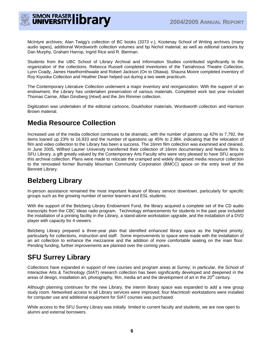

McIntyre archives; Alan Twigg's collection of BC books (3373 v.), Kootenay School of Writing archives (many audio tapes), additional Wordsworth collection volumes and bp Nichol material; as well as editorial cartoons by Dan Murphy, Graham Harrop, Ingrid Rice and R. Bierman.

Students from the UBC School of Library Archival and Information Studies contributed significantly to the organization of the collections. Rebecca Russell completed inventories of the Tamahnous Theatre Collection, Lynn Coady, James Hawthornthwaite and Robert Jackson (On to Ottawa). Shauna Moore completed inventory of Roy Kiyooka Collection and Heather Dean helped out during a two week practicum.

The Contemporary Literature Collection underwent a major inventory and reorganization. With the support of an endowment, the Library has undertaken preservation of various materials. Completed work last year included Thomas Carnie, Allan Ginsberg (*Howl*) and the Jim Rimmer collection.

Digitization was undertaken of the editorial cartoons, Doukhobor materials, Wordsworth collection and Harrison Brown material.

## **Media Resource Collection**

Increased use of the media collection continues to be dramatic, with the number of patrons up 42% to 7,792, the items loaned up 23% to 16,933 and the number of questions up 45% to 2,984, indicating that the relocation of film and video collection to the Library has been a success. The 16mm film collection was examined and cleaned. In June 2005, Wilfred Laurier University transferred their collection of 16mm documentary and feature films to SFU Library, a gift greatly valued by the Contemporary Arts Faculty who were very pleased to have SFU acquire this archival collection. Plans were made to relocate the cramped and widely dispersed media resource collection to the renovated former Burnaby Mountain Community Corporation (BMCC) space on the entry level of the Bennett Library.

## **Belzberg Library**

In-person assistance remained the most important feature of library service downtown, particularly for specific groups such as the growing number of senior learners and ESL students.

With the support of the Belzberg Library Endowment Fund, the library acquired a complete set of the CD audio transcripts from the CBC Ideas radio program. Technology enhancements for students in the past year included the installation of a printing facility in the Library, a stand-alone workstation upgrade, and the installation of a DVD player with capacity for 4 viewers.

Belzberg Library prepared a three-year plan that identified enhanced library space as the highest priority, particularly for collections, instruction and staff. Some improvements to space were made with the installation of an art collection to enhance the mezzanine and the addition of more comfortable seating on the main floor. Pending funding, further improvements are planned over the coming years.

## **SFU Surrey Library**

Collections have expanded in support of new courses and program areas at Surrey; in particular, the School of Interactive Arts & Technology (SIAT) research collection has been significantly developed and deepened in the areas of design, installation art, photography, film, media art and the development of art in the  $20<sup>th</sup>$  century.

Although planning continues for the new Library, the interim library space was expanded to add a new group study room. Networked access to all Library services were improved; four MacIntosh workstations were installed for computer use and additional equipment for SIAT courses was purchased.

While access to the SFU Surrey Library was initially limited to current faculty and students, we are now open to alumni and external borrowers.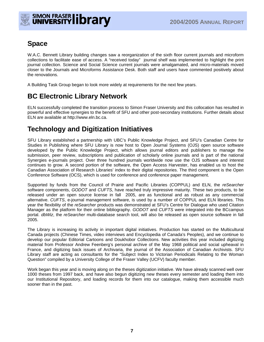

## **Space**

W.A.C. Bennett Library building changes saw a reorganization of the sixth floor current journals and microform collections to facilitate ease of access. A "received today" journal shelf was implemented to highlight the print journal collection. Science and Social Science current journals were amalgamated, and micro-materials moved closer to the Journals and Microforms Assistance Desk. Both staff and users have commented positively about the renovations.

A Building Task Group began to look more widely at requirements for the next few years.

## **BC Electronic Library Network**

ELN successfully completed the transition process to Simon Fraser University and this collocation has resulted in powerful and effective synergies to the benefit of SFU and other post-secondary institutions. Further details about ELN are available at http://www.eln.bc.ca.

## **Technology and Digitization Initiatives**

SFU Library established a partnership with UBC's Public Knowledge Project, and SFU's Canadian Centre for Studies in Publishing where SFU Library is now host to Open Journal Systems (OJS) open source software developed by the Public Knowledge Project, which allows journal editors and publishers to manage the submission, peer review, subscriptions and publication of scholarly online journals and is part of the national Synergies e-journals project. Over three hundred journals worldwide now use the OJS software and interest continues to grow. A second portion of the software, the Open Access Harvester, has enabled us to host the Canadian Association of Research Libraries' index to their digital repositories. The third component is the Open Conference Software (OCS), which is used for conference and conference paper management.

Supported by funds from the Council of Prairie and Pacific Libraries (COPPUL) and ELN, the *reSearcher* software components, *GODOT* and *CUFTS*, have reached truly impressive maturity. These two products, to be released under an open source license in fall 2005, are as functional and as robust as any commercial alternative. *CUFTS*, e-journal management software, is used by a number of COPPUL and ELN libraries. This year the flexibility of the *reSearcher* products was demonstrated at SFU's Centre for Dialogue who used Citation Manager as the platform for their online bibliography. *GODOT* and *CUFTS* were integrated into the BCcampus portal. *dbWiz*, the *reSearcher* multi-database search tool, will also be released as open source software in fall 2005.

The Library is increasing its activity in important digital initiatives. Production has started on the Multicultural Canada projects (Chinese Times, video interviews and Encyclopedia of Canada's Peoples), and we continue to develop our popular Editorial Cartoons and Doukhobor Collections. New activities this year included digitizing material from Professor Andrew Feenberg's personal archive of the May 1968 political and social upheaval in France, and digitizing back issues of Archivaria, the journal of the Association of Canadian Archivists. SFU Library staff are acting as consultants for the "Subject Index to Victorian Periodicals Relating to the Woman Question" compiled by a University College of the Fraser Valley (UCFV) faculty member.

Work began this year and is moving along on the theses digitization initiative. We have already scanned well over 1000 theses from 1997 back, and have also begun digitizing new theses every semester and loading them into our Institutional Repository, and loading records for them into our catalogue, making them accessible much sooner than in the past.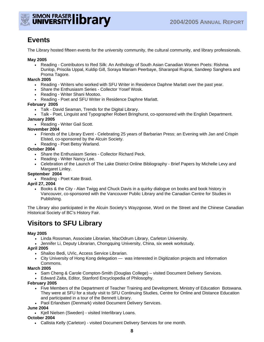

## **Events**

The Library hosted fifteen events for the university community, the cultural community, and library professionals.

#### **May 2005**

• Reading - Contributors to Red Silk: An Anthology of South Asian Canadian Women Poets: Rishma Dunlop, Priscila Uppal, Kuldip Gill, Soraya Mariam Peerbaye, Sharanpal Ruprai, Sandeep Sanghera and Proma Tagore.

#### **March 2005**

- Reading Writers who worked with SFU Writer in Residence Daphne Marlatt over the past year.
- Share the Enthusiasm Series Collector Yosef Wosk.
- Reading Writer Shani Mootoo.
- Reading Poet and SFU Writer in Residence Daphne Marlatt.

#### **February 2005**

- Talk David Seaman, Trends for the Digital Library.
- Talk Poet, Linguist and Typographer Robert Bringhurst, co-sponsored with the English Department.

#### **January 2005**

• Reading - Writer Gail Scott.

#### **November 2004**

- Friends of the Library Event Celebrating 25 years of Barbarian Press: an Evening with Jan and Crispin Elsted, co-sponsored by the Alcuin Society.
- Reading Poet Betsy Warland.

#### **October 2004**

- Share the Enthusiasm Series Collector Richard Peck.
- Reading Writer Nancy Lee.
- Celebration of the Launch of The Lake District Online Bibliography Brief Papers by Michelle Levy and Margaret Linley.

#### **September 2004**

• Reading - Poet Kate Braid.

#### **April 27, 2004**

• Books & the City - Alan Twigg and Chuck Davis in a quirky dialogue on books and book history in Vancouver, co-sponsored with the Vancouver Public Library and the Canadian Centre for Studies in Publishing.

The Library also participated in the Alcuin Society's Wayzgoose, Word on the Street and the Chinese Canadian Historical Society of BC's History Fair.

## **Visitors to SFU Library**

#### **May 2005**

- Linda Rossman, Associate Librarian, MacOdrum Library, Carleton University.
- Jennifer Li, Deputy Librarian, Chongquing University, China, six week workstudy.

#### **April 2005**

- Shailoo Bedi, UVic, Access Service Librarian.
- City University of Hong Kong delegation was interested in Digitization projects and Information Commons.

#### **March 2005**

- Sam Cheng & Carole Compton-Smith (Douglas College) visited Document Delivery Services.
- Edward Zalta, Editor, Stanford Encyclopedia of Philosophy.

#### **February 2005**

- Five Members of the Department of Teacher Training and Development, Ministry of Education Botswana. They were at SFU for a study visit to SFU Continuing Studies, Centre for Online and Distance Education and participated in a tour of the Bennett Library.
- Paol Erlandsen (Denmark) visited Document Delivery Services.

#### **June 2004**

• Kjell Nielsen (Sweden) - visited Interlibrary Loans.

#### **October 2004**

• Callista Kelly (Carleton) - visited Document Delivery Services for one month.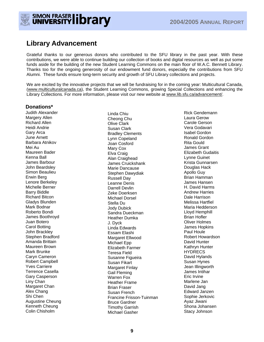

### **Library Advancement**

Grateful thanks to our generous donors who contributed to the SFU library in the past year. With these contributions, we were able to continue building our collection of books and digital resources as well as put some funds aside for the building of the new Student Learning Commons on the main floor of W.A.C. Bennett Library. Thanks too for the ongoing generosity of our endowment fund donors, especially the contributions from SFU Alumni. These funds ensure long-term security and growth of SFU Library collections and projects.

We are excited by the innovative projects that we will be fundraising for in the coming year: Multicultural Canada, (www.multiculturalcanada.ca), the Student Learning Commons, growing Special Collections and enhancing the Library Collections. For more information, please visit our new website at www.lib.sfu.ca/advancement/.

#### **Donations\***

Judith Alexander Margery Allen Richard Allen Heidi Andrie Gary Arca June Arnett Barbara Atnikov Mei Au Maureen Bader Kenna Ball James Barbour John Beardsley Simon Beaulieu Erwin Berg Lenore Berkeley Michelle Berner Barry Biddle Richard Bitcon Gladys Blunden Mark Bodnar Roberto Bondi James Boothroyd Juan Botero Carol Botting John Brackley Stephen Bradford Amanda Brittain Maureen Brown Mark Brunke Caryn Cameron Robert Campbell Yves Carriere Terrence Casella Gary Casperson Liny Chan Margaret Chan Alex Chang Shi Chen Augustine Cheung Kenneth Cheung Colin Chisholm

Linda Chiu Cheong Chu Olive Clark Susan Clark Bradley Clements Lynn Copeland Joan Cosford Mary Cox Elva Craig Alan Craighead James Cruickshank Marie Dancause Stephen Dawydiak Russell Day Leanne Denis Darrell Devlin Zeke Doerksen Michael Dorsel Stella Du Jody Dubick Sandra Dueckman Heather Dumka J. Dyck Linda Edwards Essam Elashi Margaret Ellwood Michael Epp Elizabeth Farmer Teresa Field Susanne Figueira Susan Fikart Margaret Finlay Gail Fleming Warren Fox Heather Frame Brian Fraser Susan French Francine Frisson-Tuinman Bruce Gardner Timothy Garrish Michael Gasher

Rick Gendemann Laura Gerow Carole Gerson Vera Godavari Isabel Gordon Ronald Gordon Rita Gould James Grant Elizabeth Gudaitis Lynne Guinet Krista Gunnarsen Douglas Hack Apollo Guy Brian Hamman James Hansen H. David Harms Andrew Harries Dale Harrison Melissa Hartfiel Maria Hedderson Lloyd Hemphill Brian Hofler Oliver Holmes James Hopkins Paul Houle Robert Howardson David Hunter Kathryn Hunter **HYDRECS** David Hylands Susan Hynes Jean Illingworth James Intihar Eric Irvine Marlene Jan David Jang Edward Janzen Sophie Jerkovic Ayaz Jiwani Shona Johansen Stacy Johnson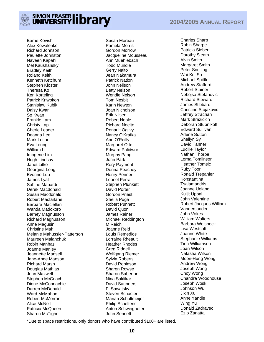

Barrie Kovish Alex Kowalenko Richard Johnson Paulette Johnston Naveen Kapahi Mel Kaushansky Bradley Keith Roland Keith Kenneth Ketchum Stephen Kloster Theresa Ko Keri Korteling Patrick Kriwokon Stanislaw Kubik Daisy Kwan So Kwan Frankle Lam Christy Lapi Cherie Leader Deanna Lee Mark Leitao Eva Leung William Li Imogene Lim Hugh Lindsay Janet Litke Georgina Long Evonne Luu James Lyall Sabine Mabardi Derek Macdonald Susan Macdonald Robert Macfarlane Barbara Maclellan Wanda Madokoro Barney Magnusson Richard Magnusson Anne Magusin Christine Mah Melanie Mahussier-Patterson Maureen Malanchuk Robin Manhas Joanne Manley Jeannette Mansell Jane-Anne Manson Richard Marsh Douglas Mathias John Maxwell Stephen McCoach Dione McConnachie Darren McDonald Ward McMahon Robert McMorran Alice McNeil Patricia McQueen Sharon McTighe

Susan Moreau Pamela Morris Gordon Morrow Jacqueline Mousseau Ann Muehlebach Todd Mundle Gerry Naito Jean Nakamura Patrick Nation John Neilson Betty Nelson Wendie Nelson Tom Nesbit Karin Newton Joan Nicholson Erik Nilsen Robert Noble Richard Noelte Renault Ogilvy Nancy O'Krafka Ann O'Reilly Margaret Otte Edward Palidwor Murphy Pang John Park Rory Payment Donna Peachey Henry Penner Leonel Perra Stephen Plunkett David Porter Gordon Priest Sheila Puga Robert Punnett David Quon James Rainer Michael Reddington M Reich Joanne Reid Louis Remedios Lorraine Rheault Heather Rhodes Greg Riddell Wolfgang Riemer Sylvia Roberts David Robinson Sharon Rowse Sharon Saberton Nina Saklikar David Saunders F. Sawatsky Steven Schacter Marian Scholtmeijer Philip Scheltens Anton Schweighofer John Sennett

Charles Sharp Robin Sharpe Patricia Sieber Dorothy Sleath Alvin Smith Margaret Smith Peter Snelling Wai-Kei So Michael Spittle Andrew Stafford Robert Stainer Nebojsa Stefanovic Richard Steward James Stibbard Christine Stojakovic Jeffrey Strachan Mark Strazicich Deborah Stupnikoff Edward Sullivan Arlene Sutton Shellyn Sy David Tanner Lucille Taylor Nathan Thorpe Lorna Tomlinson Heather Tomsic Ruby Toor Ronald Trepanier Konstantina **Tsalamandris** Joanne Ueland Kuljit Uppal John Valentine Robert Jacques William Vandersanden John Vokes William Walters Barbara Weisbeck Lisa Westcott Joanne White Stephanie Williams Tina Williamson Joan Wilson Natasha Wilson Moon-Hung Wong Andrew Wong Joseph Wong Choy Wong Chandra Woodhouse Joseph Wosk Johnson Wu Jixin Xu Anne Yandle Wing Yu Donald Zadravec Ezio Zanatta

\*Due to space restrictions, only donors who have contributed \$100+ are listed.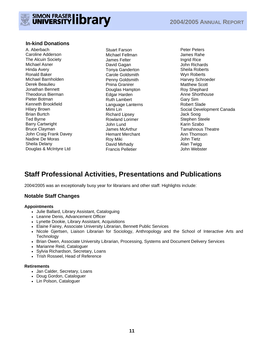

#### **In-kind Donations**

A. Aberbach Caroline Adderson The Alcuin Society Michael Asner Hinda Avery Ronald Baker Michael Barnholden Derek Beaulieu Jonathan Bennett Theodorus Bierman Pieter Botman Kenneth Brookfield Hilary Brown Brian Burtch Ted Byrne Barry Cartwright Bruce Clayman John Craig Frank Davey Nadine De Moras Sheila Delany Douglas & McIntyre Ltd

Stuart Farson Michael Fellman James Felter David Gagan Tonya Ganderton Carole Goldsmith Penny Goldsmith Pnina Granirer Douglas Hampton Edgar Harden Ruth Lambert Language Lanterns Mimi Lin Richard Lipsey Rowland Lorimer John Lund James McArthur Hemant Merchant Roy Miki David Mirhady Francis Pelletier

Peter Peters James Rahe Ingrid Rice John Richards Sheila Roberts Wyn Roberts Harvey Schroeder Matthew Scott Roy Shephard Anne Shorthouse Gary Sim Robert Slade Social Development Canada Jack Soog Stephen Steele Karin Szabo Tamahnous Theatre Ann Thomson John Tietz Alan Twigg John Webster

## **Staff Professional Activities, Presentations and Publications**

2004/2005 was an exceptionally busy year for librarians and other staff. Highlights include:

#### **Notable Staff Changes**

#### **Appointments**

- Julie Ballard, Library Assistant, Cataloguing
- Leanne Denis, Advancement Officer
- Lynette Dookie, Library Assistant, Acquisitions
- Elaine Fairey, Associate University Librarian, Bennett Public Services
- Nicole Gjertsen, Liaison Librarian for Sociology, Anthropology and the School of Interactive Arts and **Technology**
- Brian Owen, Associate University Librarian, Processing, Systems and Document Delivery Services
- Marianne Reid, Cataloguer
- Sylvia Richardson, Secretary, Loans
- Trish Rosseel, Head of Reference

#### **Retirements**

- Jan Calder, Secretary, Loans
- Doug Gordon, Cataloguer
- Lin Polson, Cataloguer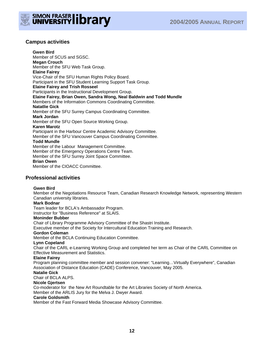



#### **Campus activities**

**Gwen Bird**  Member of SCUS and SGSC. **Megan Crouch**  Member of the SFU Web Task Group. **Elaine Fairey** Vice-Chair of the SFU Human Rights Policy Board. Participant in the SFU Student Learning Support Task Group. **Elaine Fairey and Trish Rosseel** Participants in the Instructional Development Group. **Elaine Fairey, Brian Owen, Sandra Wong, Neal Baldwin and Todd Mundle** Members of the Information Commons Coordinating Committee. **Natatlie Gick**  Member of the SFU Surrey Campus Coordinating Committee. **Mark Jordan**  Member of the SFU Open Source Working Group. **Karen Marotz** Participant in the Harbour Centre Academic Advisory Committee. Member of the SFU Vancouver Campus Coordinating Committee. **Todd Mundle**  Member of the Labour Management Committee. Member of the Emergency Operations Centre Team. Member of the SFU Surrey Joint Space Committee. **Brian Owen**  Member of the CIOACC Committee.

**Professional activities** 

#### **Gwen Bird**

Member of the Negotiations Resource Team, Canadian Research Knowledge Network, representing Western Canadian university libraries.

#### **Mark Bodnar**

Team leader for BCLA's Ambassador Program.

Instructor for "Business Reference" at SLAIS.

#### **Moninder Bubber**

Chair of Library Programme Advisory Committee of the Shastri Institute.

Executive member of the Society for Intercultural Education Training and Research.

#### **Gordon Coleman**

Member of the BCLA Continuing Education Committee.

#### **Lynn Copeland**

Chair of the CARL e-Learning Working Group and completed her term as Chair of the CARL Committee on Effective Measurement and Statistics.

#### **Elaine Fairey**

Program planning committee member and session convener: "Learning…Virtually Everywhere", Canadian Association of Distance Education (CADE) Conference, Vancouver, May 2005.

#### **Natalie Gick**

Chair of BCLA ALPS.

#### **Nicole Gjertsen**

Co-moderator for the New Art Roundtable for the Art Libraries Society of North America.

Member of the ARLIS Jury for the Melva J. Dwyer Award.

#### **Carole Goldsmith**

Member of the Fast Forward Media Showcase Advisory Committee.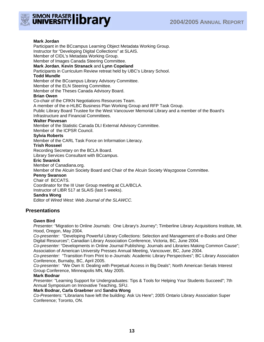

#### **Mark Jordan**

Participant in the BCcampus Learning Object Metadata Working Group. Instructor for "Developing Digital Collections" at SLAIS. Member of CIDL's Metadata Working Group. Member of Images Canada Steering Committee. **Mark Jordan**, **Kevin Stranack** and **Lynn Copeland** Participants in Curriculum Review retreat held by UBC's Library School. **Todd Mundle** Member of the BCcampus Library Advisory Committee. Member of the ELN Steering Committee. Member of the Theses Canada Advisory Board. **Brian Owen** Co-chair of the CRKN Negotiations Resources Team. A member of the e-HLBC Business Plan Working Group and RFP Task Group. Public Library Board Trustee for the West Vancouver Memorial Library and a member of the Board's Infrastructure and Financial Committees. **Walter Piovesan** Member of the Statistic Canada DLI External Advisory Committee. Member of the ICPSR Council. **Sylvia Roberts** Member of the CARL Task Force on Information Literacy. **Trish Rosseel** Recording Secretary on the BCLA Board. Library Services Consultant with BCcampus. **Eric Swanick** Member of Canadiana.org. Member of the Alcuin Society Board and Chair of the Alcuin Society Wayzgoose Committee. **Penny Swanson** Chair of BCCATS. Coordinator for the III User Group meeting at CLA/BCLA. Instructor of LIBR 517 at SLAIS (last 5 weeks). **Sandra Wong** Editor of *Wired West: Web Journal of the SLAWCC.* 

#### **Presentations**

#### **Gwen Bird**

*Presenter:* "Migration to Online Journals: One Library's Journey"; Timberline Library Acquisitions Institute, Mt. Hood, Oregon, May 2004.

*Co-presenter:* "Developing Powerful Library Collections: Selection and Management of e-Books and Other Digital Resources"; Canadian Library Association Conference, Victoria, BC, June 2004.

*Co-presenter:* "Developments in Online Journal Publishing: Journals and Libraries Making Common Cause"; Association of American University Presses Annual Meeting, Vancouver, BC, June 2004.

*Co-presenter:* "Transition From Print to e-Journals: Academic Library Perspectives"; BC Library Association Conference, Burnaby, BC, April 2005.

*Co-presenter:* "We Own It: Dealing with Perpetual Access in Big Deals"; North American Serials Interest Group Conference, Minneapolis MN, May 2005.

#### **Mark Bodnar**

*Presenter:* "Learning Support for Undergraduates: Tips & Tools for Helping Your Students Succeed"; 7th Annual Symposium on Innovative Teaching, SFU.

#### **Mark Bodnar, Carla Graebner** and **Sandra Wong**

*Co-Presenters:* "Librarians have left the building: Ask Us Here"; 2005 Ontario Library Association Super Conference; Toronto, ON.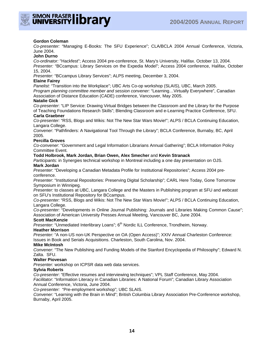

#### **Gordon Coleman**

*Co-presenter:* "Managing E-Books: The SFU Experience"; CLA/BCLA 2004 Annual Conference, Victoria, June 2004.

#### **John Durno**

*Co-ordinator:* "Hackfest"; Access 2004 pre-conference, St. Mary's University, Halifax. October 13, 2004.

*Presenter:* "BCcampus: Library Services on the Expedia Model"; Access 2004 conference, Halifax, October 15, 2004.

*Presenter:* "BCcampus Library Services"; ALPS meeting, December 3, 2004.

#### **Elaine Fairey**

*Panelist:* "Transition into the Workplace"; UBC Arts Co-op workshop (SLAIS), UBC, March 2005. *Program planning committee member and session convener:* "Learning…Virtually Everywhere", Canadian

Association of Distance Education (CADE) conference, Vancouver, May 2005.

#### **Natalie Gick**

*Co-presenter*: "LIP Service: Drawing Virtual Bridges between the Classroom and the Library for the Purpose of Teaching Foundations Research Skills"; Blending Classroom and e-Learning Practice Conference, SFU. **Carla Graebner** 

*Co-presenter:* "RSS, Blogs and Wikis: Not The New Star Wars Movie!"; ALPS / BCLA Continuing Education, Langara College.

*Convener*: "Pathfinders: A Navigational Tool Through the Library"; BCLA Conference, Burnaby, BC, April 2005.

#### **Percilla Groves**

*Co-convener*: "Government and Legal Information Librarians Annual Gathering"; BCLA Information Policy Committee Event.

#### **Todd Holbrook, Mark Jordan, Brian Owen, Alex Smecher** and **Kevin Stranack**

*Participants:* in Synergies technical workshop in Montreal including a one day presentation on OJS. **Mark Jordan** 

*Presenter*: "Developing a Canadian Metadata Profile for Institutional Repositories"; Access 2004 preconference.

*Presenter*: "Institutional Repositories: Preserving Digital Scholarship"; CARL Here Today, Gone Tomorrow Symposium in Winnipeg.

*Presenter:* to classes at UBC, Langara College and the Masters in Publishing program at SFU and webcast on SFU's Institutional Repository for BCcampus.

*Co-presenter:* "RSS, Blogs and Wikis: Not The New Star Wars Movie!"; ALPS / BCLA Continuing Education, Langara College.

*Co-presenter:* "Developments in Online Journal Publishing: Journals and Libraries Making Common Cause"; Association of American University Presses Annual Meeting, Vancouver BC, June 2004.

#### **Scott MacKenzie**

*Presenter*: "Unmediated Interlibrary Loans"; 6<sup>th</sup> Nordic ILL Conference, Trondheim, Norway.

#### **Heather Morrison**

*Presenter:* "A non-US non-UK Perspective on OA (Open Access)"; XXIV Annual Charleston Conference: Issues in Book and Serials Acquisitions. Charleston, South Carolina, Nov. 2004.

#### **Mike McIntosh**

*Convener*: "The New Publishing and Funding Models of the Stanford Encyclopedia of Philosophy"; Edward N. Zalta. SFU.

#### **Walter Piovesan**

*Presenter:* workshop on ICPSR data web data services.

#### **Sylvia Roberts**

*Co-presenter*: "Effective resumes and interviewing techniques"; VPL Staff Conference, May 2004. *Facilitator*: "Information Literacy in Canadian Libraries: A National Forum"; Canadian Library Association Annual Conference, Victoria, June 2004.

*Co-presenter:* "Pre-employment workshop"; UBC SLAIS.

*Convener:* "Learning with the Brain in Mind"; British Columbia Library Association Pre-Conference workshop, Burnaby, April 2005.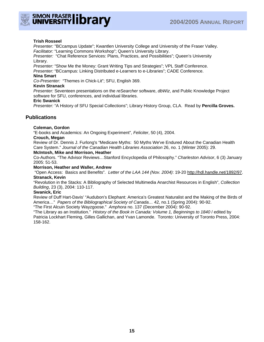

#### **Trish Rosseel**

*Presenter:* "BCcampus Update"; Kwantlen University College and University of the Fraser Valley. *Facilitator:* "Learning Commons Workshop"; Queen's University Library.

*Presenter:* "Chat Reference Services: Plans, Practices, and Possibilities"; Queen's University Library.

*Presenter:* "Show Me the Money: Grant Writing Tips and Strategies"; VPL Staff Conference. *Presenter:* "BCcampus: Linking Distributed e-Learners to e-Libraries"; CADE Conference.

#### **Nina Smart**

*Co-Presenter:* "Themes in Chick-Lit"; SFU, English 369.

#### **Kevin Stranack**

*Presenter:* Seventeen presentations on the *reSearcher* software, *dbWiz*, and Public Knowledge Project software for SFU, conferences, and individual libraries.

#### **Eric Swanick**

*Presenter:* "A History of SFU Special Collections"; Library History Group, CLA. Read by **Percilla Groves.**

#### **Publications**

#### **Coleman, Gordon**

"E-books and Academics: An Ongoing Experiment", *Feliciter*, 50 (4), 2004.

#### **Crouch, Megan**

Review of Dr. Dennis J. Furlong's "Medicare Myths: 50 Myths We've Endured About the Canadian Health Care System." *Journal of the Canadian Health Libraries Association* 26, no. 1 (Winter 2005): 29.

#### **McIntosh, Mike and Morrison, Heather**

Co-Authors. "The Advisor Reviews…Stanford Encyclopedia of Philosophy." *Charleston Advisor*, 6 (3) January 2005: 51-53.

#### **Morrison, Heather and Waller, Andrew**

 "Open Access: Basics and Benefits". *Letter of the LAA 144 (Nov. 2004)*: 19-20 http://hdl.handle.net/1892/97. **Stranack, Kevin** 

"Revolution in the Stacks: A Bibliography of Selected Multimedia Anarchist Resources in English", *Collection Building*, 23 (3), 2004: 110-117.

#### **Swanick, Eric**

Review of Duff Hart-Davis' "Audubon's Elephant: America's Greatest Naturalist and the Making of the Birds of America…" *Papers of the Bibliographical Society of Canada…* 42, no.1 (Spring 2004): 90-92.

"The First Alcuin Society Wayzgoose." *Amphora* no. 137 (December 2004): 90-92.

"The Library as an Institution." *History of the Book in Canada: Volume 1, Beginnings to 1840* / edited by Patricia Lockhart Fleming, Gilles Gallichan, and Yvan Lamonde. Toronto: University of Toronto Press, 2004: 158-162.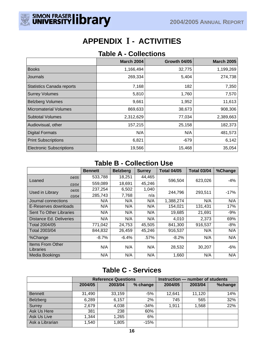

## **APPENDIX I - ACTIVITIES**

### **Table A - Collections**

|                                  | <b>March 2004</b> | <b>Growth 04/05</b> | <b>March 2005</b> |
|----------------------------------|-------------------|---------------------|-------------------|
| <b>Books</b>                     | 1,166,494         | 32,775              | 1,199,269         |
| Journals                         | 269,334           | 5,404               | 274,738           |
| <b>Statistics Canada reports</b> | 7,168             | 182                 | 7,350             |
| <b>Surrey Volumes</b>            | 5,810             | 1,760               | 7,570             |
| <b>Belzberg Volumes</b>          | 9,661             | 1,952               | 11,613            |
| <b>Micromaterial Volumes</b>     | 869,633           | 38,673              | 908,306           |
| <b>Subtotal Volumes</b>          | 2,312,629         | 77,034              | 2,389,663         |
| Audiovisual, other               | 157,215           | 25,158              | 182,373           |
| <b>Digital Formats</b>           | N/A               | N/A                 | 481,573           |
| <b>Print Subscriptions</b>       | 6,821             | -679                | 6,142             |
| <b>Electronic Subscriptions</b>  | 19,566            | 15,468              | 35,054            |

### **Table B - Collection Use**

|                               |       | <b>Bennett</b> | <b>Belzberg</b> | <b>Surrey</b> | <b>Total 04/05</b> | <b>Total 03/04</b> | %Change |
|-------------------------------|-------|----------------|-----------------|---------------|--------------------|--------------------|---------|
| Loaned                        | 04/05 | 533,788        | 18,251          | 44,465        |                    |                    |         |
|                               | 03/04 | 559,089        | 18,691          | 45,246        | 596,504            | 623,026            | $-4%$   |
| Used in Library               | 04/05 | 237,254        | 6,502           | 1,040         | 244,796            | 293,511            | $-17%$  |
|                               | 03/04 | 285,743        | 7,768           | n/a           |                    |                    |         |
| Journal connections           |       | N/A            | N/A             | N/A           | 1,388,274          | N/A                | N/A     |
| E-Reserves downloads          |       | N/A            | N/A             | N/A           | 154,021            | 131,431            | 17%     |
| Sent To Other Libraries       |       | N/A            | N/A             | N/A           | 19,685             | 21,691             | $-9%$   |
| Distance Ed. Deliveries       |       | N/A            | N/A             | N/A           | 4,010              | 2,373              | 69%     |
| Total 2004/05                 |       | 771,042        | 24,753          | 45,505        | 841,300            | 916,537            | $-8%$   |
| Total 2003/04                 |       | 844,832        | 26,459          | 45,246        | 916,537            | N/A                | N/A     |
| %Change                       |       | $-8.7%$        | $-6.4%$         | .57%          | $-8.2%$            | N/A                | N/A     |
| Items From Other<br>Libraries |       | N/A            | N/A             | N/A           | 28,532             | 30,207             | $-6%$   |
| Media Bookings                |       | N/A            | N/A             | N/A           | 1,660              | N/A                | N/A     |

## **Table C - Services**

|                 | <b>Reference Questions</b> |         |          | Instruction - number of students |         |         |
|-----------------|----------------------------|---------|----------|----------------------------------|---------|---------|
|                 | 2004/05                    | 2003/04 | % change | 2004/05                          | 2003/04 | %change |
| <b>Bennett</b>  | 31,490                     | 33,159  | $-5%$    | 12,641                           | 11,120  | 14%     |
| Belzberg        | 6,289                      | 6,157   | 2%       | 745                              | 565     | 32%     |
| Surrey          | 2,679                      | 4,038   | $-34%$   | 1,911                            | 1,568   | 22%     |
| Ask Us Here     | 381                        | 238     | 60%      |                                  |         |         |
| Ask Us Live     | 1,344                      | 1,265   | 6%       |                                  |         |         |
| Ask a Librarian | 1,540                      | 1,805   | $-15%$   |                                  |         |         |